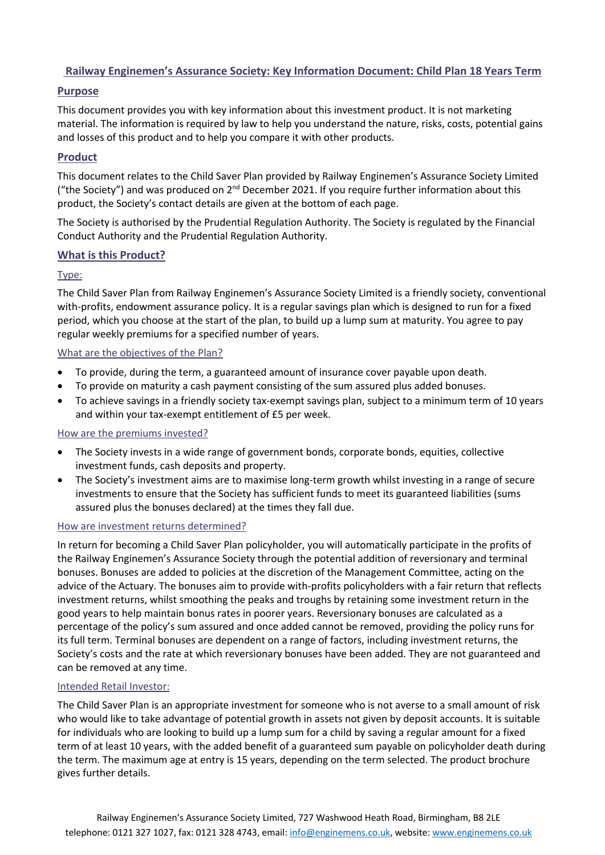# **Railway Enginemen's Assurance Society: Key Information Document: Child Plan 18 Years Term**

### **Purpose**

This document provides you with key information about this investment product. It is not marketing material. The information is required by law to help you understand the nature, risks, costs, potential gains and losses of this product and to help you compare it with other products.

# **Product**

This document relates to the Child Saver Plan provided by Railway Enginemen's Assurance Society Limited ("the Society") and was produced on  $2^{nd}$  December 2021. If you require further information about this product, the Society's contact details are given at the bottom of each page.

The Society is authorised by the Prudential Regulation Authority. The Society is regulated by the Financial Conduct Authority and the Prudential Regulation Authority.

### **What is this Product?**

### Type:

The Child Saver Plan from Railway Enginemen's Assurance Society Limited is a friendly society, conventional with-profits, endowment assurance policy. It is a regular savings plan which is designed to run for a fixed period, which you choose at the start of the plan, to build up a lump sum at maturity. You agree to pay regular weekly premiums for a specified number of years.

#### What are the objectives of the Plan?

- To provide, during the term, a guaranteed amount of insurance cover payable upon death.
- To provide on maturity a cash payment consisting of the sum assured plus added bonuses.
- To achieve savings in a friendly society tax-exempt savings plan, subject to a minimum term of 10 years and within your tax-exempt entitlement of £5 per week.

#### How are the premiums invested?

- The Society invests in a wide range of government bonds, corporate bonds, equities, collective investment funds, cash deposits and property.
- The Society's investment aims are to maximise long-term growth whilst investing in a range of secure investments to ensure that the Society has sufficient funds to meet its guaranteed liabilities (sums assured plus the bonuses declared) at the times they fall due.

#### How are investment returns determined?

In return for becoming a Child Saver Plan policyholder, you will automatically participate in the profits of the Railway Enginemen's Assurance Society through the potential addition of reversionary and terminal bonuses. Bonuses are added to policies at the discretion of the Management Committee, acting on the advice of the Actuary. The bonuses aim to provide with-profits policyholders with a fair return that reflects investment returns, whilst smoothing the peaks and troughs by retaining some investment return in the good years to help maintain bonus rates in poorer years. Reversionary bonuses are calculated as a percentage of the policy's sum assured and once added cannot be removed, providing the policy runs for its full term. Terminal bonuses are dependent on a range of factors, including investment returns, the Society's costs and the rate at which reversionary bonuses have been added. They are not guaranteed and can be removed at any time.

#### Intended Retail Investor:

The Child Saver Plan is an appropriate investment for someone who is not averse to a small amount of risk who would like to take advantage of potential growth in assets not given by deposit accounts. It is suitable for individuals who are looking to build up a lump sum for a child by saving a regular amount for a fixed term of at least 10 years, with the added benefit of a guaranteed sum payable on policyholder death during the term. The maximum age at entry is 15 years, depending on the term selected. The product brochure gives further details.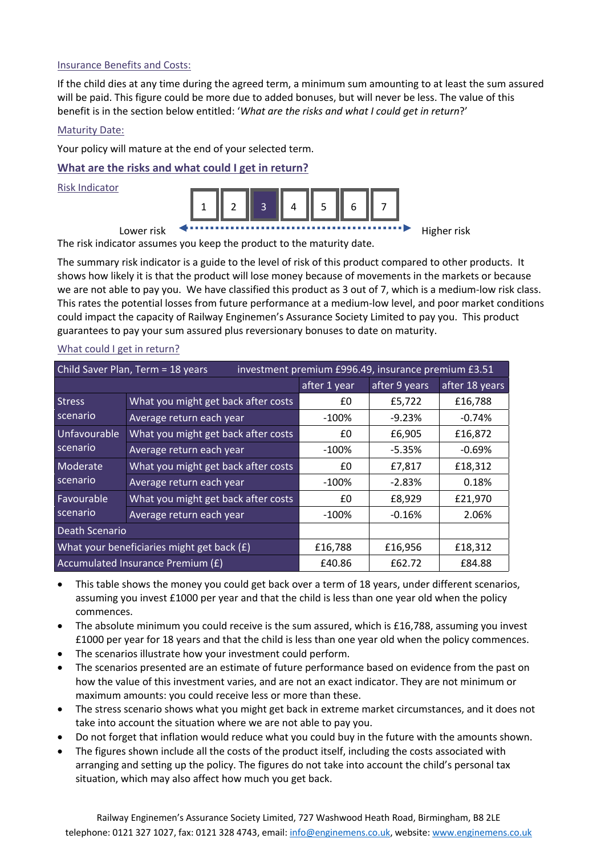#### Insurance Benefits and Costs:

If the child dies at any time during the agreed term, a minimum sum amounting to at least the sum assured will be paid. This figure could be more due to added bonuses, but will never be less. The value of this benefit is in the section below entitled: '*What are the risks and what I could get in return*?'

#### Maturity Date:

Your policy will mature at the end of your selected term.

### **What are the risks and what could I get in return?**

Risk Indicator



The risk indicator assumes you keep the product to the maturity date.

The summary risk indicator is a guide to the level of risk of this product compared to other products. It shows how likely it is that the product will lose money because of movements in the markets or because we are not able to pay you. We have classified this product as 3 out of 7, which is a medium-low risk class. This rates the potential losses from future performance at a medium-low level, and poor market conditions could impact the capacity of Railway Enginemen's Assurance Society Limited to pay you. This product guarantees to pay your sum assured plus reversionary bonuses to date on maturity.

| Child Saver Plan, Term = 18 years<br>investment premium £996.49, insurance premium £3.51 |                                            |              |               |                |  |
|------------------------------------------------------------------------------------------|--------------------------------------------|--------------|---------------|----------------|--|
|                                                                                          |                                            | after 1 year | after 9 years | after 18 years |  |
| Stress                                                                                   | What you might get back after costs        | £0           | £5,722        | £16,788        |  |
| scenario                                                                                 | Average return each year                   | $-100%$      | $-9.23%$      | $-0.74%$       |  |
| Unfavourable<br>scenario                                                                 | What you might get back after costs        | £0           | £6,905        | £16,872        |  |
|                                                                                          | Average return each year                   | $-100%$      | $-5.35%$      | $-0.69%$       |  |
| Moderate<br>scenario                                                                     | What you might get back after costs        | £0           | £7,817        | £18,312        |  |
|                                                                                          | Average return each year                   | $-100%$      | $-2.83%$      | 0.18%          |  |
| Favourable<br>scenario                                                                   | What you might get back after costs        | £0           | £8,929        | £21,970        |  |
|                                                                                          | Average return each year                   | $-100%$      | $-0.16%$      | 2.06%          |  |
| Death Scenario                                                                           |                                            |              |               |                |  |
|                                                                                          | What your beneficiaries might get back (£) | £16,788      | £16,956       | £18,312        |  |
|                                                                                          | Accumulated Insurance Premium (£)          | £40.86       | £62.72        | £84.88         |  |

#### What could I get in return?

- This table shows the money you could get back over a term of 18 years, under different scenarios, assuming you invest £1000 per year and that the child is less than one year old when the policy commences.
- The absolute minimum you could receive is the sum assured, which is £16,788, assuming you invest £1000 per year for 18 years and that the child is less than one year old when the policy commences.
- The scenarios illustrate how your investment could perform.
- The scenarios presented are an estimate of future performance based on evidence from the past on how the value of this investment varies, and are not an exact indicator. They are not minimum or maximum amounts: you could receive less or more than these.
- The stress scenario shows what you might get back in extreme market circumstances, and it does not take into account the situation where we are not able to pay you.
- Do not forget that inflation would reduce what you could buy in the future with the amounts shown.
- The figures shown include all the costs of the product itself, including the costs associated with arranging and setting up the policy. The figures do not take into account the child's personal tax situation, which may also affect how much you get back.